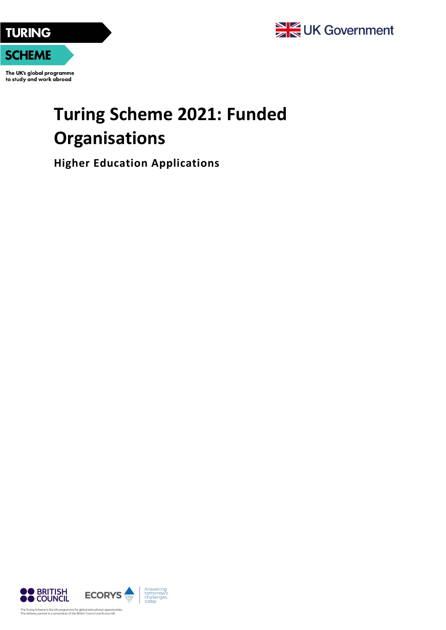

The UK's global programme to study and work abroad

## **Turing Scheme 2021: Funded Organisations**

**Higher Education Applications**

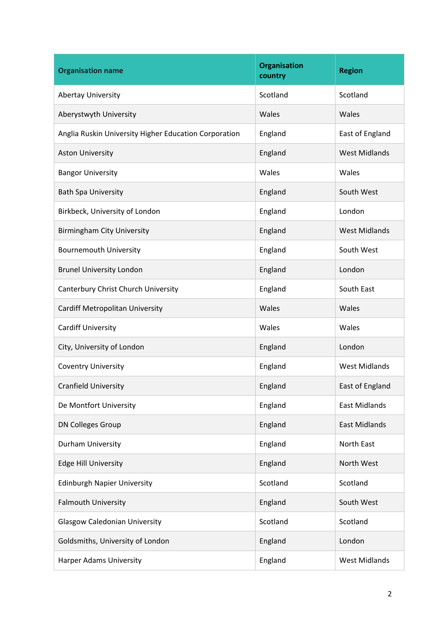| <b>Organisation name</b>                              | <b>Organisation</b><br>country | <b>Region</b>        |
|-------------------------------------------------------|--------------------------------|----------------------|
| <b>Abertay University</b>                             | Scotland                       | Scotland             |
| Aberystwyth University                                | Wales                          | Wales                |
| Anglia Ruskin University Higher Education Corporation | England                        | East of England      |
| <b>Aston University</b>                               | England                        | <b>West Midlands</b> |
| <b>Bangor University</b>                              | Wales                          | Wales                |
| <b>Bath Spa University</b>                            | England                        | South West           |
| Birkbeck, University of London                        | England                        | London               |
| <b>Birmingham City University</b>                     | England                        | <b>West Midlands</b> |
| <b>Bournemouth University</b>                         | England                        | South West           |
| <b>Brunel University London</b>                       | England                        | London               |
| Canterbury Christ Church University                   | England                        | South East           |
| Cardiff Metropolitan University                       | Wales                          | Wales                |
| <b>Cardiff University</b>                             | Wales                          | Wales                |
| City, University of London                            | England                        | London               |
| <b>Coventry University</b>                            | England                        | <b>West Midlands</b> |
| <b>Cranfield University</b>                           | England                        | East of England      |
| De Montfort University                                | England                        | <b>East Midlands</b> |
| <b>DN Colleges Group</b>                              | England                        | <b>East Midlands</b> |
| Durham University                                     | England                        | North East           |
| <b>Edge Hill University</b>                           | England                        | North West           |
| <b>Edinburgh Napier University</b>                    | Scotland                       | Scotland             |
| Falmouth University                                   | England                        | South West           |
| <b>Glasgow Caledonian University</b>                  | Scotland                       | Scotland             |
| Goldsmiths, University of London                      | England                        | London               |
| Harper Adams University                               | England                        | <b>West Midlands</b> |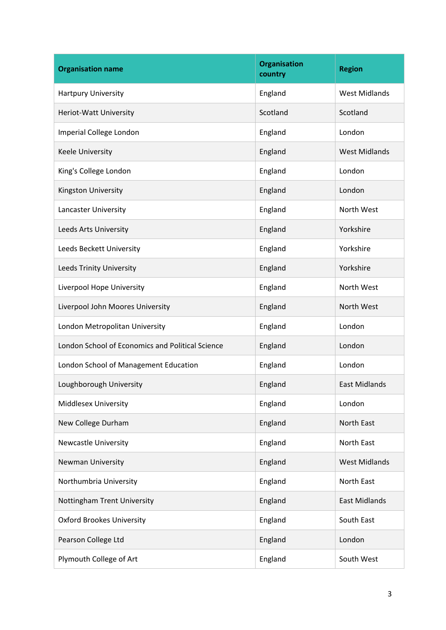| <b>Organisation name</b>                         | <b>Organisation</b><br>country | <b>Region</b>        |
|--------------------------------------------------|--------------------------------|----------------------|
| Hartpury University                              | England                        | <b>West Midlands</b> |
| Heriot-Watt University                           | Scotland                       | Scotland             |
| Imperial College London                          | England                        | London               |
| Keele University                                 | England                        | <b>West Midlands</b> |
| King's College London                            | England                        | London               |
| Kingston University                              | England                        | London               |
| Lancaster University                             | England                        | North West           |
| Leeds Arts University                            | England                        | Yorkshire            |
| Leeds Beckett University                         | England                        | Yorkshire            |
| Leeds Trinity University                         | England                        | Yorkshire            |
| Liverpool Hope University                        | England                        | North West           |
| Liverpool John Moores University                 | England                        | North West           |
| London Metropolitan University                   | England                        | London               |
| London School of Economics and Political Science | England                        | London               |
| London School of Management Education            | England                        | London               |
| Loughborough University                          | England                        | <b>East Midlands</b> |
| <b>Middlesex University</b>                      | England                        | London               |
| New College Durham                               | England                        | North East           |
| <b>Newcastle University</b>                      | England                        | North East           |
| Newman University                                | England                        | <b>West Midlands</b> |
| Northumbria University                           | England                        | <b>North East</b>    |
| Nottingham Trent University                      | England                        | East Midlands        |
| <b>Oxford Brookes University</b>                 | England                        | South East           |
| Pearson College Ltd                              | England                        | London               |
| Plymouth College of Art                          | England                        | South West           |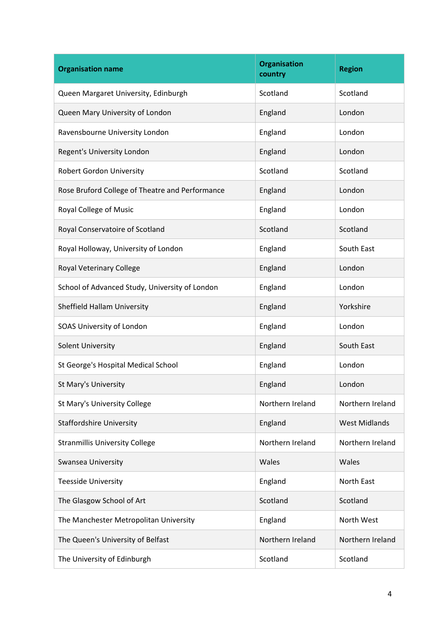| <b>Organisation name</b>                        | <b>Organisation</b><br>country | <b>Region</b>        |
|-------------------------------------------------|--------------------------------|----------------------|
| Queen Margaret University, Edinburgh            | Scotland                       | Scotland             |
| Queen Mary University of London                 | England                        | London               |
| Ravensbourne University London                  | England                        | London               |
| Regent's University London                      | England                        | London               |
| <b>Robert Gordon University</b>                 | Scotland                       | Scotland             |
| Rose Bruford College of Theatre and Performance | England                        | London               |
| Royal College of Music                          | England                        | London               |
| Royal Conservatoire of Scotland                 | Scotland                       | Scotland             |
| Royal Holloway, University of London            | England                        | South East           |
| Royal Veterinary College                        | England                        | London               |
| School of Advanced Study, University of London  | England                        | London               |
| Sheffield Hallam University                     | England                        | Yorkshire            |
| SOAS University of London                       | England                        | London               |
| Solent University                               | England                        | South East           |
| St George's Hospital Medical School             | England                        | London               |
| St Mary's University                            | England                        | London               |
| St Mary's University College                    | Northern Ireland               | Northern Ireland     |
| <b>Staffordshire University</b>                 | England                        | <b>West Midlands</b> |
| <b>Stranmillis University College</b>           | Northern Ireland               | Northern Ireland     |
| Swansea University                              | Wales                          | Wales                |
| <b>Teesside University</b>                      | England                        | North East           |
| The Glasgow School of Art                       | Scotland                       | Scotland             |
| The Manchester Metropolitan University          | England                        | North West           |
| The Queen's University of Belfast               | Northern Ireland               | Northern Ireland     |
| The University of Edinburgh                     | Scotland                       | Scotland             |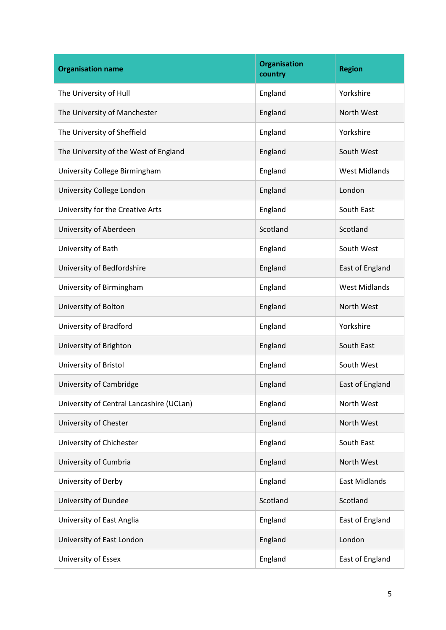| <b>Organisation name</b>                 | <b>Organisation</b><br>country | <b>Region</b>        |
|------------------------------------------|--------------------------------|----------------------|
| The University of Hull                   | England                        | Yorkshire            |
| The University of Manchester             | England                        | North West           |
| The University of Sheffield              | England                        | Yorkshire            |
| The University of the West of England    | England                        | South West           |
| University College Birmingham            | England                        | <b>West Midlands</b> |
| University College London                | England                        | London               |
| University for the Creative Arts         | England                        | South East           |
| University of Aberdeen                   | Scotland                       | Scotland             |
| University of Bath                       | England                        | South West           |
| University of Bedfordshire               | England                        | East of England      |
| University of Birmingham                 | England                        | <b>West Midlands</b> |
| University of Bolton                     | England                        | North West           |
| University of Bradford                   | England                        | Yorkshire            |
| University of Brighton                   | England                        | South East           |
| University of Bristol                    | England                        | South West           |
| University of Cambridge                  | England                        | East of England      |
| University of Central Lancashire (UCLan) | England                        | North West           |
| University of Chester                    | England                        | North West           |
| University of Chichester                 | England                        | South East           |
| University of Cumbria                    | England                        | North West           |
| University of Derby                      | England                        | <b>East Midlands</b> |
| University of Dundee                     | Scotland                       | Scotland             |
| University of East Anglia                | England                        | East of England      |
| University of East London                | England                        | London               |
| University of Essex                      | England                        | East of England      |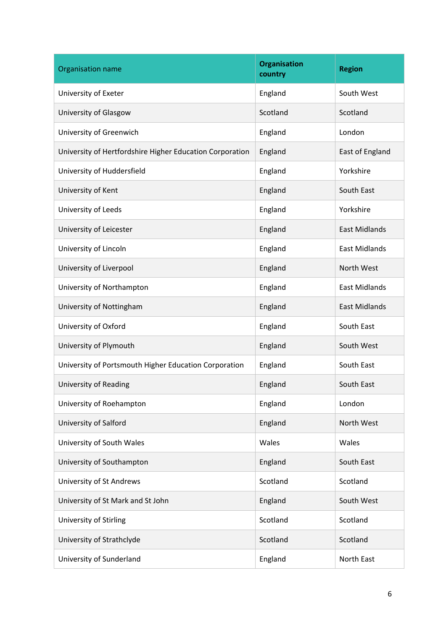| Organisation name                                        | <b>Organisation</b><br>country | <b>Region</b>        |
|----------------------------------------------------------|--------------------------------|----------------------|
| University of Exeter                                     | England                        | South West           |
| University of Glasgow                                    | Scotland                       | Scotland             |
| University of Greenwich                                  | England                        | London               |
| University of Hertfordshire Higher Education Corporation | England                        | East of England      |
| University of Huddersfield                               | England                        | Yorkshire            |
| University of Kent                                       | England                        | South East           |
| University of Leeds                                      | England                        | Yorkshire            |
| University of Leicester                                  | England                        | <b>East Midlands</b> |
| University of Lincoln                                    | England                        | <b>East Midlands</b> |
| University of Liverpool                                  | England                        | North West           |
| University of Northampton                                | England                        | <b>East Midlands</b> |
| University of Nottingham                                 | England                        | <b>East Midlands</b> |
| University of Oxford                                     | England                        | South East           |
| University of Plymouth                                   | England                        | South West           |
| University of Portsmouth Higher Education Corporation    | England                        | South East           |
| University of Reading                                    | England                        | South East           |
| University of Roehampton                                 | England                        | London               |
| University of Salford                                    | England                        | North West           |
| University of South Wales                                | Wales                          | Wales                |
| University of Southampton                                | England                        | South East           |
| University of St Andrews                                 | Scotland                       | Scotland             |
| University of St Mark and St John                        | England                        | South West           |
| University of Stirling                                   | Scotland                       | Scotland             |
| University of Strathclyde                                | Scotland                       | Scotland             |
| University of Sunderland                                 | England                        | North East           |